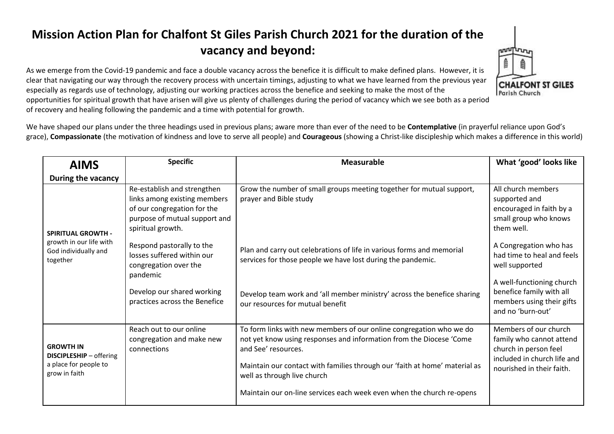## **Mission Action Plan for Chalfont St Giles Parish Church 2021 for the duration of the vacancy and beyond:**

As we emerge from the Covid-19 pandemic and face a double vacancy across the benefice it is difficult to make defined plans. However, it is clear that navigating our way through the recovery process with uncertain timings, adjusting to what we have learned from the previous year especially as regards use of technology, adjusting our working practices across the benefice and seeking to make the most of the

opportunities for spiritual growth that have arisen will give us plenty of challenges during the period of vacancy which we see both as a period of recovery and healing following the pandemic and a time with potential for growth.

We have shaped our plans under the three headings used in previous plans; aware more than ever of the need to be **Contemplative** (in prayerful reliance upon God's grace), **Compassionate** (the motivation of kindness and love to serve all people) and **Courageous** (showing a Christ-like discipleship which makes a difference in this world)

| <b>AIMS</b>                                                                              | <b>Specific</b>                                                                                                                                  | <b>Measurable</b>                                                                                                                                                                                                                                                              | What 'good' looks like                                                                                                                 |
|------------------------------------------------------------------------------------------|--------------------------------------------------------------------------------------------------------------------------------------------------|--------------------------------------------------------------------------------------------------------------------------------------------------------------------------------------------------------------------------------------------------------------------------------|----------------------------------------------------------------------------------------------------------------------------------------|
| During the vacancy                                                                       |                                                                                                                                                  |                                                                                                                                                                                                                                                                                |                                                                                                                                        |
| <b>SPIRITUAL GROWTH -</b><br>growth in our life with<br>God individually and<br>together | Re-establish and strengthen<br>links among existing members<br>of our congregation for the<br>purpose of mutual support and<br>spiritual growth. | Grow the number of small groups meeting together for mutual support,<br>prayer and Bible study                                                                                                                                                                                 | All church members<br>supported and<br>encouraged in faith by a<br>small group who knows<br>them well.                                 |
|                                                                                          | Respond pastorally to the<br>losses suffered within our<br>congregation over the<br>pandemic                                                     | Plan and carry out celebrations of life in various forms and memorial<br>services for those people we have lost during the pandemic.                                                                                                                                           | A Congregation who has<br>had time to heal and feels<br>well supported                                                                 |
|                                                                                          | Develop our shared working<br>practices across the Benefice                                                                                      | Develop team work and 'all member ministry' across the benefice sharing<br>our resources for mutual benefit                                                                                                                                                                    | A well-functioning church<br>benefice family with all<br>members using their gifts<br>and no 'burn-out'                                |
| <b>GROWTH IN</b><br>DISCIPLESHIP - offering<br>a place for people to<br>grow in faith    | Reach out to our online<br>congregation and make new<br>connections                                                                              | To form links with new members of our online congregation who we do<br>not yet know using responses and information from the Diocese 'Come<br>and See' resources.<br>Maintain our contact with families through our 'faith at home' material as<br>well as through live church | Members of our church<br>family who cannot attend<br>church in person feel<br>included in church life and<br>nourished in their faith. |
|                                                                                          |                                                                                                                                                  | Maintain our on-line services each week even when the church re-opens                                                                                                                                                                                                          |                                                                                                                                        |